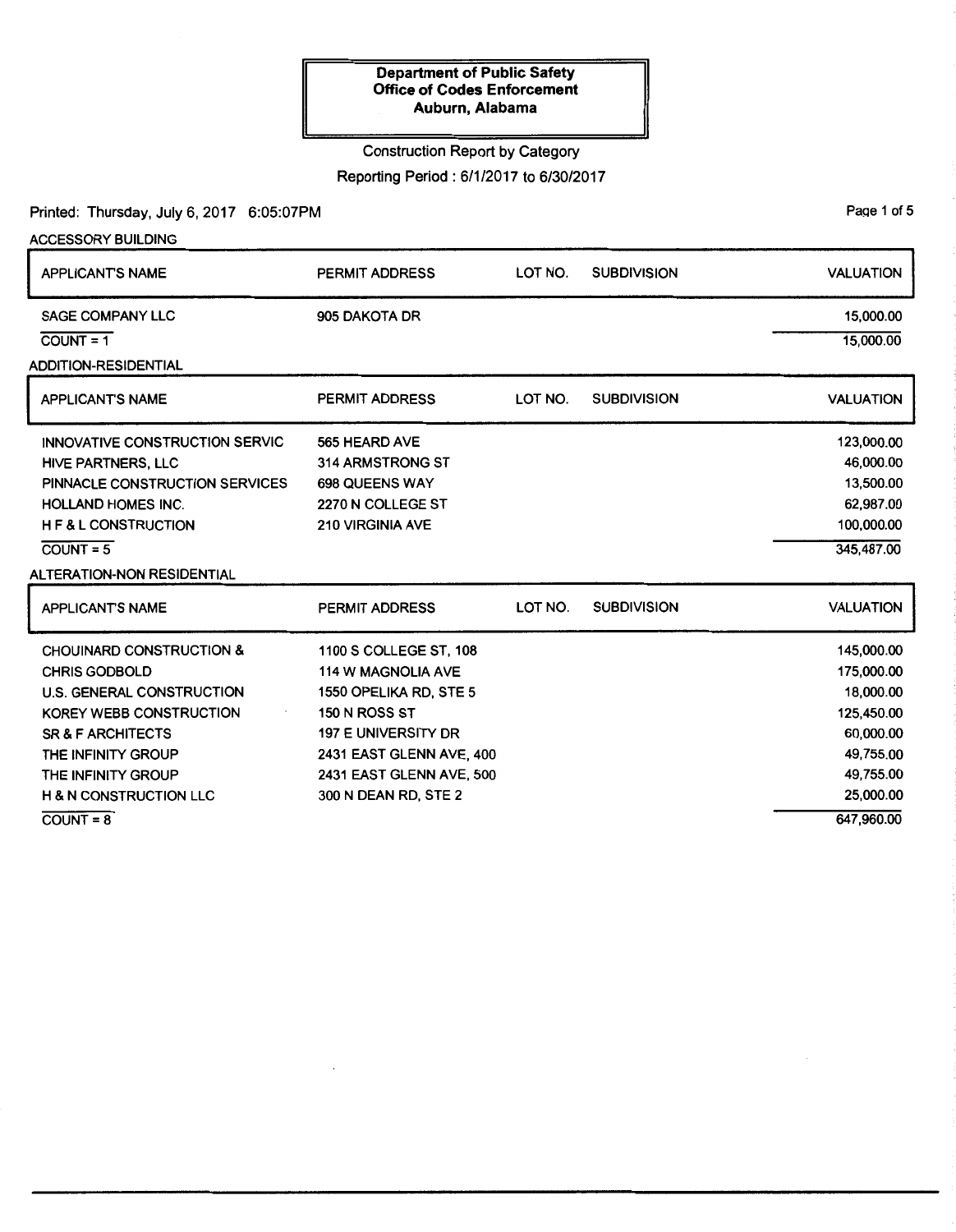### Construction Report by Category

Reporting Period: 6/1/2017 to 6/30/2017

#### Printed: Thursday, July 6, 2017 6:05:07PM

ACCESSORY BUILDING APPLICANT'S NAME SAGE COMPANY LLC  $C)$ COUNT = 1 ADDITION-RESIDENTIAL APPLICANT'S NAME INNOVATIVE CONSTRUCTION SERVIC HIVE PARTNERS, LLC PINNACLE CONSTRUCTION SERVICES HOLLAND HOMES INC. H F & L CONSTRUCTION  $COUNT = 5$ ALTERATION-NON RESIDENTIAL APPLICANT'S NAME CHOUINARD CONSTRUCTION & CHRIS GODBOLD U.S. GENERAL CONSTRUCTION KOREY WEBB CONSTRUCTION SR & F ARCHITECTS THE INFINITY GROUP THE INFINITY GROUP H & N CONSTRUCTION LLC PERMIT ADDRESS 905 DAKOTA DR PERMIT ADDRESS 565 HEARD AVE 314 ARMSTRONG ST 698 QUEENS WAY 2270 N COLLEGE ST 210 VIRGINIA AVE PERMIT ADDRESS 1100 S COLLEGE ST, 108 114 W MAGNOLIA AVE 1550 OPELIKA RD, STE 5 150 N ROSS ST 197 E UNIVERSITY DR 2431 EAST GLENN AVE, 400 2431 EAST GLENN AVE, 500 300 N DEAN RD, STE 2 LOT NO. SUBDIVISION LOT NO. SUBDIVISION LOT NO. SUBDIVISION VALUATION 15,000.00 15,000.00 VALUATION 123,000.00 46,000.00 13,500.00 62,987.00 100,000.00 345,487.00 VALUATION 145,000.00 175,000.00 18,000.00 125,450.00 60,000.00 49,755.00 49,755.00 25,000.00 647,960.00

 $COUNT=8$ 

Page 1 of 5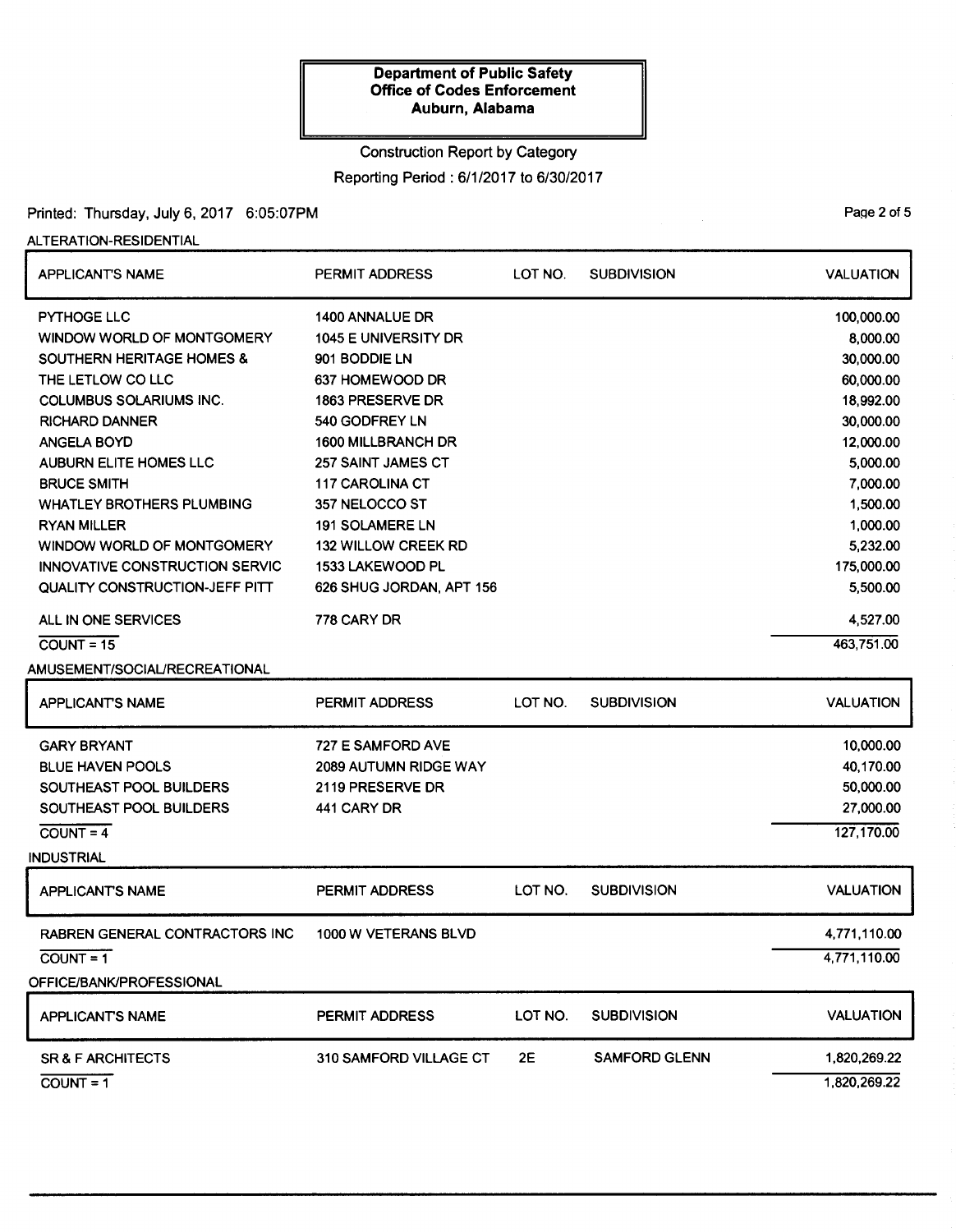# Construction Report by Category

Reporting Period: 6/1/2017 to 6/30/2017

# Printed: Thursday, July 6, 2017 6:05:07PM

## ALTERATION-RESIDENTIAL

| <b>APPLICANT'S NAME</b>               | <b>PERMIT ADDRESS</b>       | LOT NO. | <b>SUBDIVISION</b>   | <b>VALUATION</b> |
|---------------------------------------|-----------------------------|---------|----------------------|------------------|
| <b>PYTHOGE LLC</b>                    | <b>1400 ANNALUE DR</b>      |         |                      | 100,000.00       |
| WINDOW WORLD OF MONTGOMERY            | <b>1045 E UNIVERSITY DR</b> |         |                      | 8,000.00         |
| <b>SOUTHERN HERITAGE HOMES &amp;</b>  | 901 BODDIE LN               |         |                      | 30,000.00        |
| THE LETLOW CO LLC                     | 637 HOMEWOOD DR             |         |                      | 60,000.00        |
| <b>COLUMBUS SOLARIUMS INC.</b>        | 1863 PRESERVE DR            |         |                      | 18,992.00        |
| <b>RICHARD DANNER</b>                 | 540 GODFREY LN              |         |                      | 30,000.00        |
| <b>ANGELA BOYD</b>                    | <b>1600 MILLBRANCH DR</b>   |         |                      | 12,000.00        |
| <b>AUBURN ELITE HOMES LLC</b>         | <b>257 SAINT JAMES CT</b>   |         |                      | 5,000.00         |
| <b>BRUCE SMITH</b>                    | 117 CAROLINA CT             |         |                      | 7,000.00         |
| <b>WHATLEY BROTHERS PLUMBING</b>      | 357 NELOCCO ST              |         |                      | 1,500.00         |
| <b>RYAN MILLER</b>                    | <b>191 SOLAMERE LN</b>      |         |                      | 1,000.00         |
| WINDOW WORLD OF MONTGOMERY            | <b>132 WILLOW CREEK RD</b>  |         |                      | 5,232.00         |
| <b>INNOVATIVE CONSTRUCTION SERVIC</b> | 1533 LAKEWOOD PL            |         |                      | 175,000.00       |
| QUALITY CONSTRUCTION-JEFF PITT        | 626 SHUG JORDAN, APT 156    |         |                      | 5,500.00         |
| ALL IN ONE SERVICES                   | 778 CARY DR                 |         |                      | 4,527.00         |
| $COUNT = 15$                          |                             |         |                      | 463,751.00       |
| AMUSEMENT/SOCIAL/RECREATIONAL         |                             |         |                      |                  |
| <b>APPLICANT'S NAME</b>               | PERMIT ADDRESS              | LOT NO. | <b>SUBDIVISION</b>   | <b>VALUATION</b> |
| <b>GARY BRYANT</b>                    | 727 E SAMFORD AVE           |         |                      | 10,000.00        |
| <b>BLUE HAVEN POOLS</b>               | 2089 AUTUMN RIDGE WAY       |         |                      | 40,170.00        |
| SOUTHEAST POOL BUILDERS               | 2119 PRESERVE DR            |         |                      | 50,000.00        |
| SOUTHEAST POOL BUILDERS               | 441 CARY DR                 |         |                      | 27,000.00        |
| $COUNT = 4$                           |                             |         |                      | 127,170.00       |
| <b>INDUSTRIAL</b>                     |                             |         |                      |                  |
| <b>APPLICANT'S NAME</b>               | PERMIT ADDRESS              | LOT NO. | <b>SUBDIVISION</b>   | <b>VALUATION</b> |
| <b>RABREN GENERAL CONTRACTORS INC</b> | 1000 W VETERANS BLVD        |         |                      | 4,771,110.00     |
| $COUNT = 1$                           |                             |         |                      | 4,771,110.00     |
| OFFICE/BANK/PROFESSIONAL              |                             |         |                      |                  |
|                                       |                             |         |                      |                  |
| <b>APPLICANT'S NAME</b>               | <b>PERMIT ADDRESS</b>       | LOT NO. | <b>SUBDIVISION</b>   | <b>VALUATION</b> |
| <b>SR &amp; F ARCHITECTS</b>          | 310 SAMFORD VILLAGE CT      | 2E      | <b>SAMFORD GLENN</b> | 1,820,269.22     |
| $COUNT = 1$                           |                             |         |                      | 1,820,269.22     |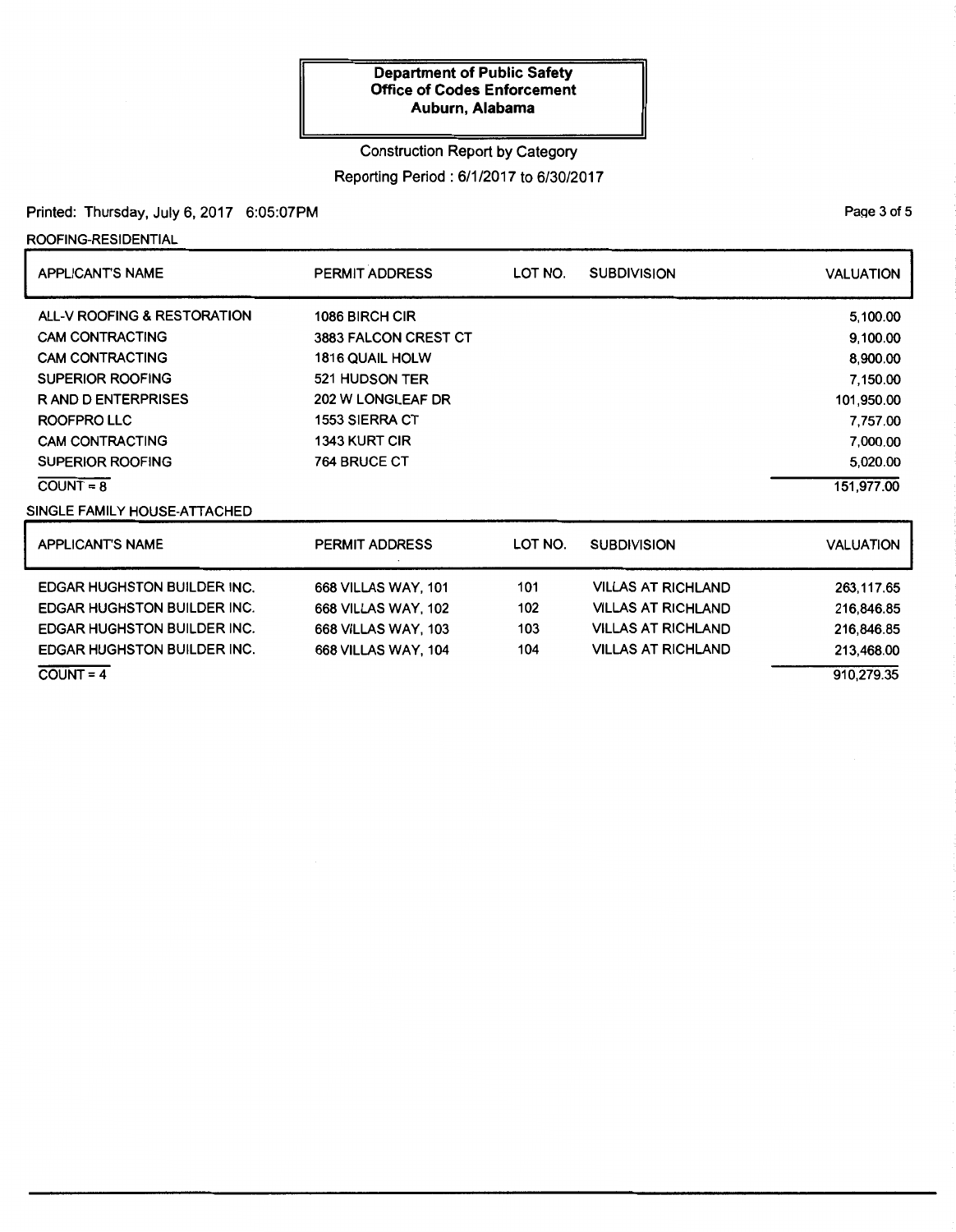## Construction Report by Category

Reporting Period : 6/1 /2017 to 6/30/2017

# Printed: Thursday, July 6, 2017 6:05:07PM

ROOFING-RESIDENTIAL

| <b>APPLICANT'S NAME</b>            | PERMIT ADDRESS             | LOT NO. | <b>SUBDIVISION</b>        | <b>VALUATION</b> |
|------------------------------------|----------------------------|---------|---------------------------|------------------|
| ALL-V ROOFING & RESTORATION        | 1086 BIRCH CIR             |         |                           | 5,100.00         |
| <b>CAM CONTRACTING</b>             | 3883 FALCON CREST CT       |         |                           | 9,100.00         |
| <b>CAM CONTRACTING</b>             | 1816 QUAIL HOLW            |         |                           | 8,900.00         |
| <b>SUPERIOR ROOFING</b>            | 521 HUDSON TER             |         |                           | 7,150.00         |
| <b>RAND DENTERPRISES</b>           | 202 W LONGLEAF DR          |         |                           | 101,950.00       |
| ROOFPRO LLC                        | <b>1553 SIERRA CT</b>      |         |                           | 7,757.00         |
| <b>CAM CONTRACTING</b>             | <b>1343 KURT CIR</b>       |         |                           | 7,000.00         |
| <b>SUPERIOR ROOFING</b>            | <b>764 BRUCE CT</b>        |         |                           | 5,020.00         |
| $COUNT = 8$                        |                            |         |                           | 151,977.00       |
| SINGLE FAMILY HOUSE-ATTACHED       |                            |         |                           |                  |
| <b>APPLICANT'S NAME</b>            | PERMIT ADDRESS             | LOT NO. | <b>SUBDIVISION</b>        | <b>VALUATION</b> |
| <b>EDGAR HUGHSTON BUILDER INC.</b> | <b>668 VILLAS WAY, 101</b> | 101     | <b>VILLAS AT RICHLAND</b> | 263,117.65       |
| <b>EDGAR HUGHSTON BUILDER INC.</b> | <b>668 VILLAS WAY, 102</b> | 102     | <b>VILLAS AT RICHLAND</b> | 216,846.85       |
| <b>EDGAR HUGHSTON BUILDER INC.</b> | <b>668 VILLAS WAY, 103</b> | 103     | <b>VILLAS AT RICHLAND</b> | 216,846.85       |
| <b>EDGAR HUGHSTON BUILDER INC.</b> | <b>668 VILLAS WAY, 104</b> | 104     | <b>VILLAS AT RICHLAND</b> | 213,468.00       |
| $COUNT = 4$                        |                            |         |                           | 910,279.35       |

PaQe 3 of 5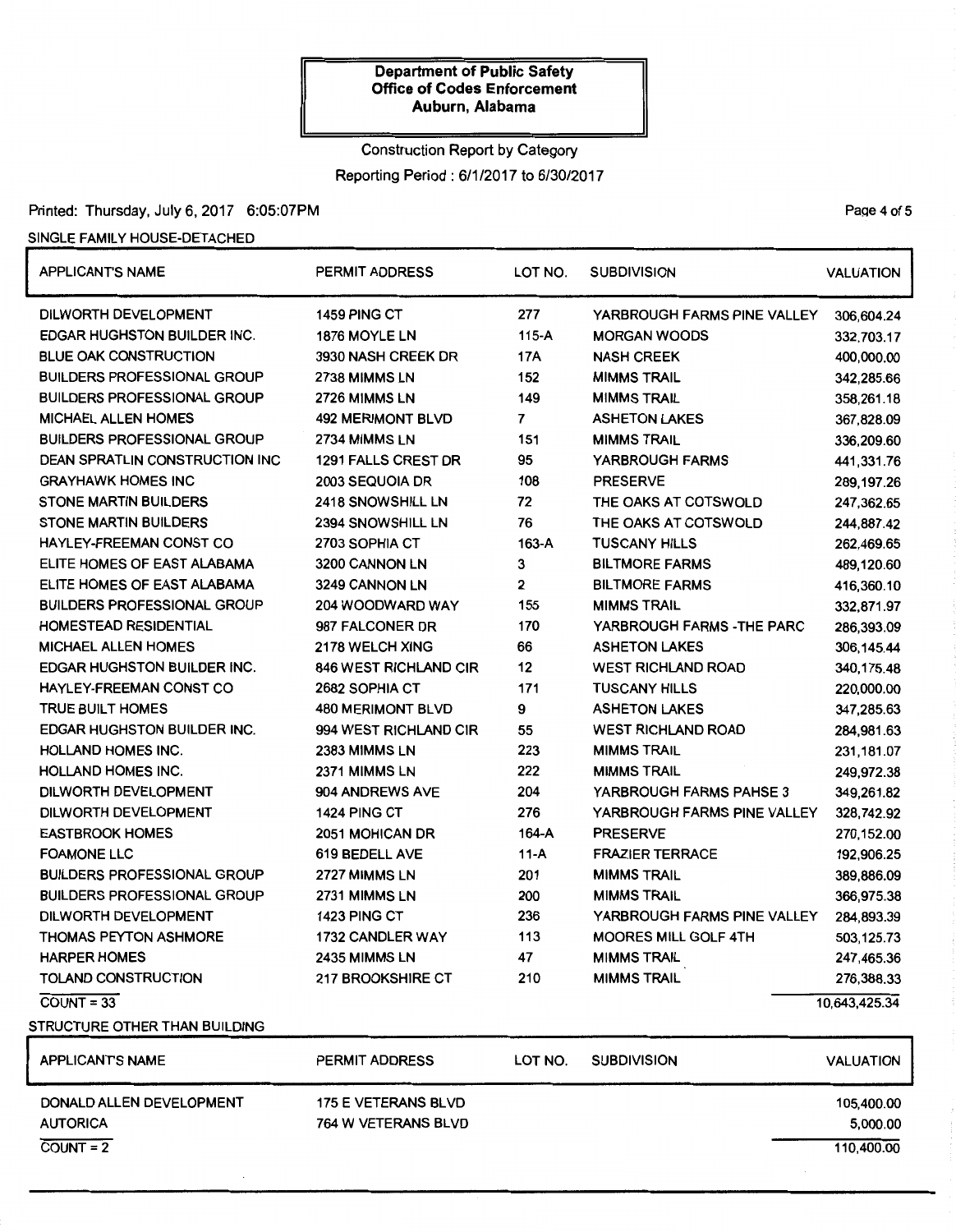# Construction Report by Category Reporting Period: 6/1/2017 to 6/30/2017

# Printed: Thursday, July 6, 2017 6:05:07PM

### SINGLE FAMILY HOUSE-DETACHED

| <b>APPLICANT'S NAME</b>               | <b>PERMIT ADDRESS</b>        | LOT NO.        | <b>SUBDIVISION</b>          |                  |
|---------------------------------------|------------------------------|----------------|-----------------------------|------------------|
| DILWORTH DEVELOPMENT                  | 1459 PING CT                 | 277            | YARBROUGH FARMS PINE VALLEY | 306,604.24       |
| <b>EDGAR HUGHSTON BUILDER INC.</b>    | 1876 MOYLE LN                | $115-A$        | <b>MORGAN WOODS</b>         | 332,703.17       |
| <b>BLUE OAK CONSTRUCTION</b>          | 3930 NASH CREEK DR           | 17A            | <b>NASH CREEK</b>           | 400,000.00       |
| <b>BUILDERS PROFESSIONAL GROUP</b>    | 2738 MIMMS LN                | 152            | <b>MIMMS TRAIL</b>          | 342,285.66       |
| <b>BUILDERS PROFESSIONAL GROUP</b>    | 2726 MIMMS LN                | 149            | <b>MIMMS TRAIL</b>          | 358,261.18       |
| <b>MICHAEL ALLEN HOMES</b>            | <b>492 MERIMONT BLVD</b>     | $\overline{7}$ | <b>ASHETON LAKES</b>        | 367,828.09       |
| <b>BUILDERS PROFESSIONAL GROUP</b>    | 2734 MIMMS LN                | 151            | <b>MIMMS TRAIL</b>          | 336,209.60       |
| <b>DEAN SPRATLIN CONSTRUCTION INC</b> | 1291 FALLS CREST DR          | 95             | YARBROUGH FARMS             | 441,331.76       |
| <b>GRAYHAWK HOMES INC</b>             | 2003 SEQUOIA DR              | 108            | <b>PRESERVE</b>             | 289,197.26       |
| <b>STONE MARTIN BUILDERS</b>          | <b>2418 SNOWSHILL LN</b>     | 72             | THE OAKS AT COTSWOLD        | 247,362.65       |
| <b>STONE MARTIN BUILDERS</b>          | 2394 SNOWSHILL LN            | 76             | THE OAKS AT COTSWOLD        | 244,887.42       |
| HAYLEY-FREEMAN CONST CO               | 2703 SOPHIA CT               | $163-A$        | <b>TUSCANY HILLS</b>        | 262,469.65       |
| ELITE HOMES OF EAST ALABAMA           | 3200 CANNON LN               | 3              | <b>BILTMORE FARMS</b>       | 489,120.60       |
| ELITE HOMES OF EAST ALABAMA           | 3249 CANNON LN               | $\mathbf{2}$   | <b>BILTMORE FARMS</b>       | 416,360.10       |
| <b>BUILDERS PROFESSIONAL GROUP</b>    | 204 WOODWARD WAY             | 155            | <b>MIMMS TRAIL</b>          | 332,871.97       |
| <b>HOMESTEAD RESIDENTIAL</b>          | 987 FALCONER DR              | 170            | YARBROUGH FARMS - THE PARC  | 286,393.09       |
| <b>MICHAEL ALLEN HOMES</b>            | 2178 WELCH XING              | 66             | <b>ASHETON LAKES</b>        | 306, 145.44      |
| <b>EDGAR HUGHSTON BUILDER INC.</b>    | <b>846 WEST RICHLAND CIR</b> | 12             | <b>WEST RICHLAND ROAD</b>   | 340,175.48       |
| HAYLEY-FREEMAN CONST CO               | 2682 SOPHIA CT               | 171            | <b>TUSCANY HILLS</b>        | 220,000.00       |
| <b>TRUE BUILT HOMES</b>               | <b>480 MERIMONT BLVD</b>     | 9              | <b>ASHETON LAKES</b>        | 347,285.63       |
| <b>EDGAR HUGHSTON BUILDER INC.</b>    | 994 WEST RICHLAND CIR        | 55             | <b>WEST RICHLAND ROAD</b>   | 284,981.63       |
| <b>HOLLAND HOMES INC.</b>             | <b>2383 MIMMS LN</b>         | 223            | <b>MIMMS TRAIL</b>          | 231,181.07       |
| <b>HOLLAND HOMES INC.</b>             | 2371 MIMMS LN                | 222            | <b>MIMMS TRAIL</b>          | 249,972.38       |
| DILWORTH DEVELOPMENT                  | 904 ANDREWS AVE              | 204            | YARBROUGH FARMS PAHSE 3     | 349,261.82       |
| DILWORTH DEVELOPMENT                  | 1424 PING CT                 | 276            | YARBROUGH FARMS PINE VALLEY | 328,742.92       |
| <b>EASTBROOK HOMES</b>                | 2051 MOHICAN DR              | 164-A          | <b>PRESERVE</b>             | 270,152.00       |
| <b>FOAMONE LLC</b>                    | 619 BEDELL AVE               | $11-A$         | <b>FRAZIER TERRACE</b>      | 192,906.25       |
| <b>BUILDERS PROFESSIONAL GROUP</b>    | 2727 MIMMS LN                | 201            | <b>MIMMS TRAIL</b>          | 389,886.09       |
| <b>BUILDERS PROFESSIONAL GROUP</b>    | 2731 MIMMS LN                | 200            | <b>MIMMS TRAIL</b>          | 366,975.38       |
| <b>DILWORTH DEVELOPMENT</b>           | 1423 PING CT                 | 236            | YARBROUGH FARMS PINE VALLEY | 284,893.39       |
| <b>THOMAS PEYTON ASHMORE</b>          | 1732 CANDLER WAY             | 113            | <b>MOORES MILL GOLF 4TH</b> | 503,125.73       |
| <b>HARPER HOMES</b>                   | 2435 MIMMS LN                | 47             | <b>MIMMS TRAIL</b>          | 247,465.36       |
| TOLAND CONSTRUCTION                   | 217 BROOKSHIRE CT            | 210            | <b>MIMMS TRAIL</b>          | 276,388.33       |
| $COVNT = 33$                          |                              |                |                             | 10,643,425.34    |
| STRUCTURE OTHER THAN BUILDING         |                              |                |                             |                  |
| <b>APPLICANT'S NAME</b>               | PERMIT ADDRESS               | LOT NO.        | <b>SUBDIVISION</b>          | <b>VALUATION</b> |
| DONALD ALLEN DEVELOPMENT              | 175 E VETERANS BLVD          |                |                             | 105,400.00       |
| <b>AUTORICA</b>                       | 764 W VETERANS BLVD          |                |                             | 5,000.00         |

PaQe 4 of 5

 $C$ OUNT = 2 110,400.00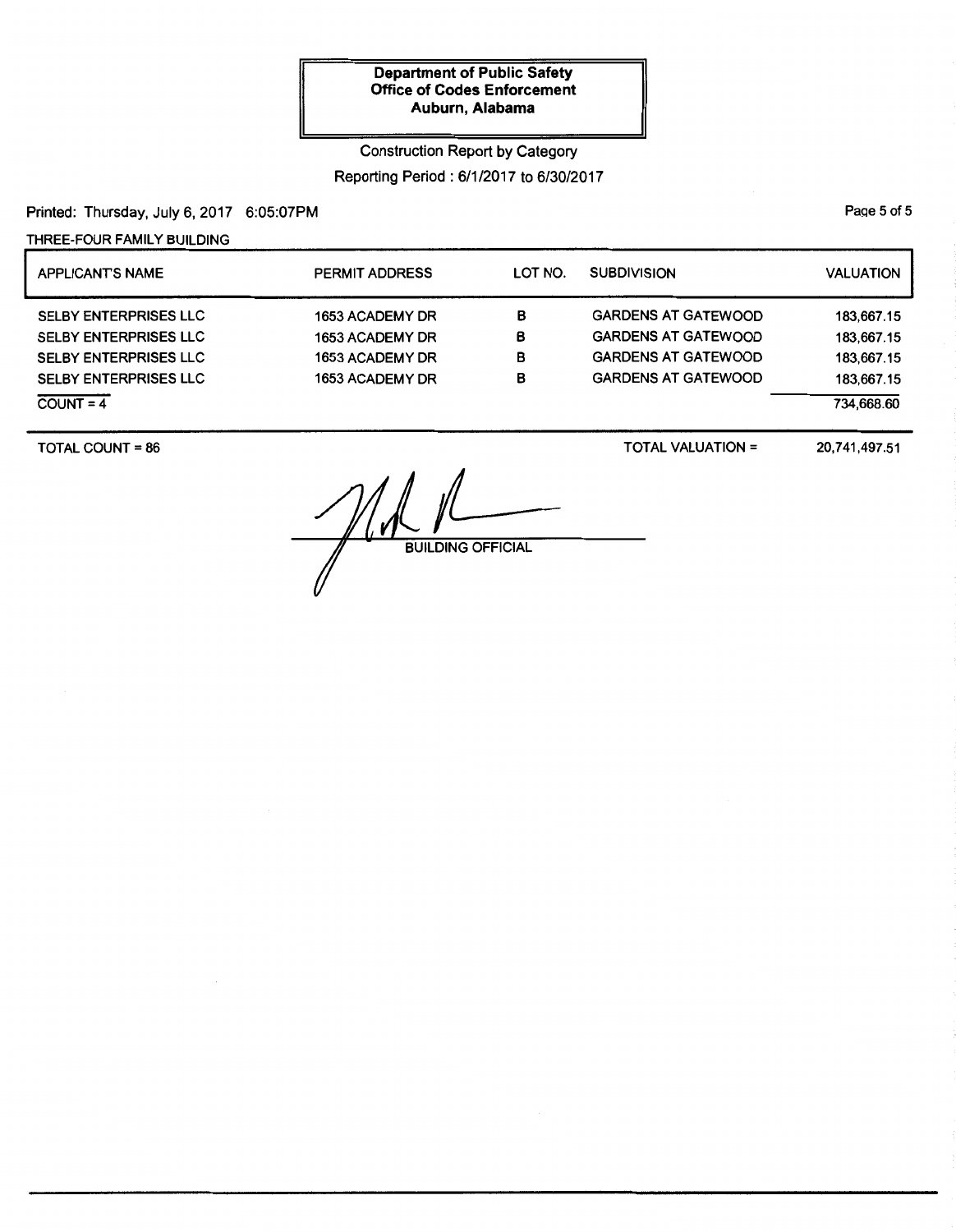## Construction Report by Category

Reporting Period: 6/1/2017 to 6/30/2017

Printed: Thursday, July 6, 2017 6:05:07PM

THREE-FOUR FAMILY BUILDING

| <b>APPLICANTS NAME</b>       | <b>PERMIT ADDRESS</b> | LOT NO. | <b>SUBDIVISION</b>         | <b>VALUATION</b> |
|------------------------------|-----------------------|---------|----------------------------|------------------|
| <b>SELBY ENTERPRISES LLC</b> | 1653 ACADEMY DR       | в       | <b>GARDENS AT GATEWOOD</b> | 183,667.15       |
| <b>SELBY ENTERPRISES LLC</b> | 1653 ACADEMY DR       | в       | <b>GARDENS AT GATEWOOD</b> | 183,667.15       |
| <b>SELBY ENTERPRISES LLC</b> | 1653 ACADEMY DR       | в       | <b>GARDENS AT GATEWOOD</b> | 183,667.15       |
| <b>SELBY ENTERPRISES LLC</b> | 1653 ACADEMY DR       | в       | <b>GARDENS AT GATEWOOD</b> | 183.667.15       |
| $COUNT = 4$                  |                       |         |                            | 734.668.60       |

TOTAL COUNT = 86

TOTAL VALUATION=

20, 741,497.51

 $M_{\textrm{\tiny{BUI}}}$ **BUILDING OFFICIAL** 

PaQe 5 of 5